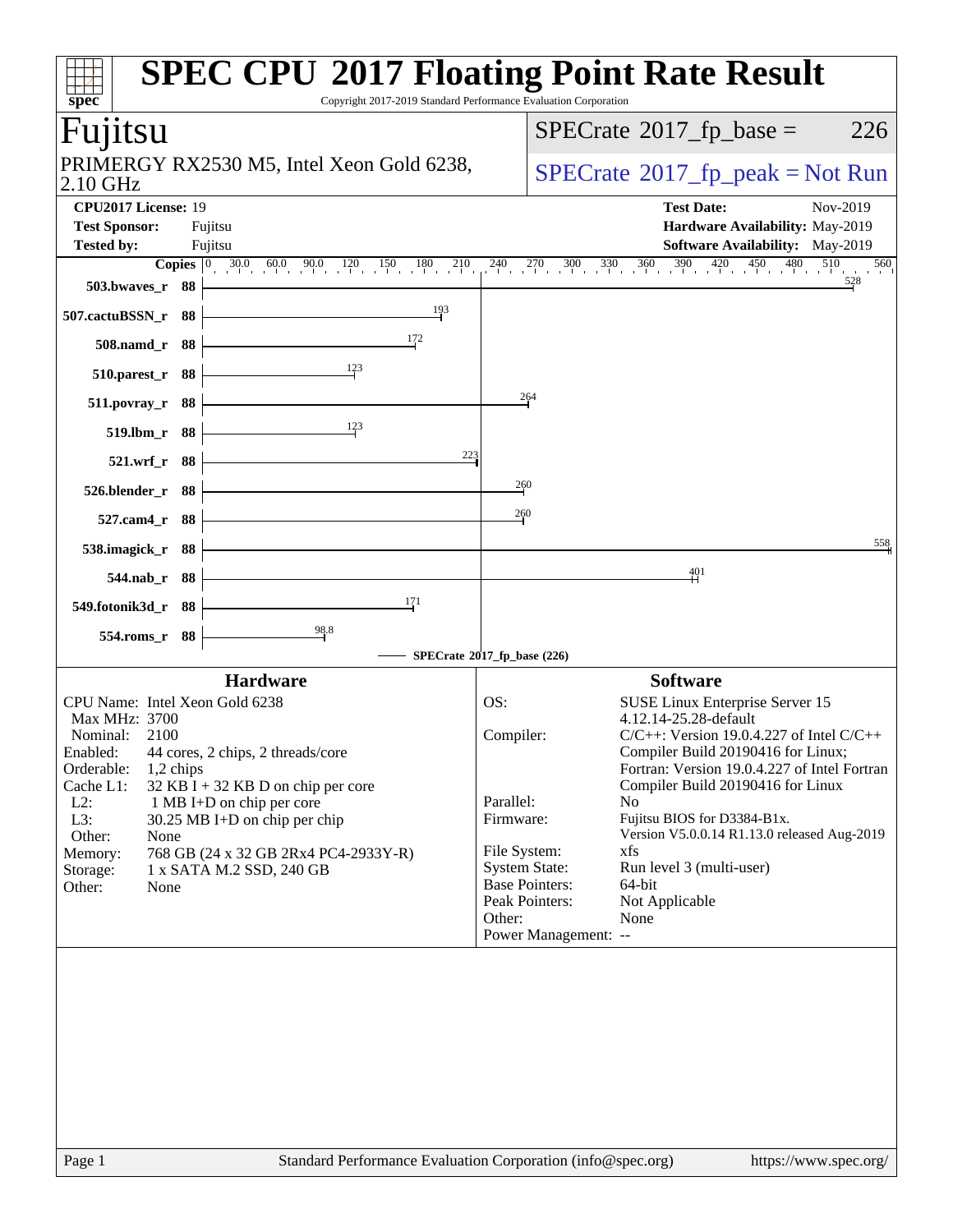| <b>SPEC CPU®2017 Floating Point Rate Result</b><br>Copyright 2017-2019 Standard Performance Evaluation Corporation<br>spec                                                                                                                                                                                                                                                                                     |                                                                                                                                                                                                                                                                                                                                                                                                                                                                                                                                                                                |
|----------------------------------------------------------------------------------------------------------------------------------------------------------------------------------------------------------------------------------------------------------------------------------------------------------------------------------------------------------------------------------------------------------------|--------------------------------------------------------------------------------------------------------------------------------------------------------------------------------------------------------------------------------------------------------------------------------------------------------------------------------------------------------------------------------------------------------------------------------------------------------------------------------------------------------------------------------------------------------------------------------|
| Fujitsu                                                                                                                                                                                                                                                                                                                                                                                                        | $SPECrate^{\circ}2017$ _fp_base =<br>226                                                                                                                                                                                                                                                                                                                                                                                                                                                                                                                                       |
| PRIMERGY RX2530 M5, Intel Xeon Gold 6238,<br>$2.10$ GHz                                                                                                                                                                                                                                                                                                                                                        | $SPECrate^{\circ}2017rfp peak = Not Run$                                                                                                                                                                                                                                                                                                                                                                                                                                                                                                                                       |
| CPU2017 License: 19<br><b>Test Sponsor:</b><br>Fujitsu<br><b>Tested by:</b><br>Fujitsu                                                                                                                                                                                                                                                                                                                         | <b>Test Date:</b><br>Nov-2019<br>Hardware Availability: May-2019<br>Software Availability: May-2019                                                                                                                                                                                                                                                                                                                                                                                                                                                                            |
| <b>Copies</b> $\begin{bmatrix} 0 & 30.0 & 60.0 & 90.0 & 120 & 150 & 180 & 210 \end{bmatrix}$<br>503.bwaves_r 88<br>193<br>507.cactuBSSN_r 88<br>172<br>508.namd_r 88<br>123<br>510.parest_r 88<br>511.povray_r 88<br>$\frac{123}{2}$<br>519.lbm_r 88<br>223<br>521.wrf_r 88<br>526.blender_r 88<br>527.cam4_r 88                                                                                               | $240$ $270$ $300$ $330$ $360$ $390$ $420$ $450$ $480$ $510$<br>560<br>528<br>264<br>260<br>260<br>558                                                                                                                                                                                                                                                                                                                                                                                                                                                                          |
| 538.imagick_r 88<br>544.nab_r 88                                                                                                                                                                                                                                                                                                                                                                               | 401                                                                                                                                                                                                                                                                                                                                                                                                                                                                                                                                                                            |
| 171<br>549.fotonik3d_r 88                                                                                                                                                                                                                                                                                                                                                                                      |                                                                                                                                                                                                                                                                                                                                                                                                                                                                                                                                                                                |
| 98.8<br>554.roms_r 88                                                                                                                                                                                                                                                                                                                                                                                          |                                                                                                                                                                                                                                                                                                                                                                                                                                                                                                                                                                                |
| <b>Hardware</b>                                                                                                                                                                                                                                                                                                                                                                                                | SPECrate®2017_fp_base (226)<br><b>Software</b>                                                                                                                                                                                                                                                                                                                                                                                                                                                                                                                                 |
| CPU Name: Intel Xeon Gold 6238<br>Max MHz: 3700<br>Nominal: 2100<br>Enabled: 44 cores, 2 chips, 2 threads/core<br>Orderable:<br>$1,2$ chips<br>Cache L1:<br>$32$ KB I + 32 KB D on chip per core<br>$L2$ :<br>1 MB I+D on chip per core<br>L3:<br>30.25 MB I+D on chip per chip<br>Other:<br>None<br>768 GB (24 x 32 GB 2Rx4 PC4-2933Y-R)<br>Memory:<br>1 x SATA M.2 SSD, 240 GB<br>Storage:<br>Other:<br>None | OS:<br>SUSE Linux Enterprise Server 15<br>4.12.14-25.28-default<br>Compiler:<br>$C/C++$ : Version 19.0.4.227 of Intel $C/C++$<br>Compiler Build 20190416 for Linux;<br>Fortran: Version 19.0.4.227 of Intel Fortran<br>Compiler Build 20190416 for Linux<br>Parallel:<br>N <sub>o</sub><br>Fujitsu BIOS for D3384-B1x.<br>Firmware:<br>Version V5.0.0.14 R1.13.0 released Aug-2019<br>File System:<br>xfs<br><b>System State:</b><br>Run level 3 (multi-user)<br><b>Base Pointers:</b><br>64-bit<br>Peak Pointers:<br>Not Applicable<br>Other:<br>None<br>Power Management: -- |
|                                                                                                                                                                                                                                                                                                                                                                                                                |                                                                                                                                                                                                                                                                                                                                                                                                                                                                                                                                                                                |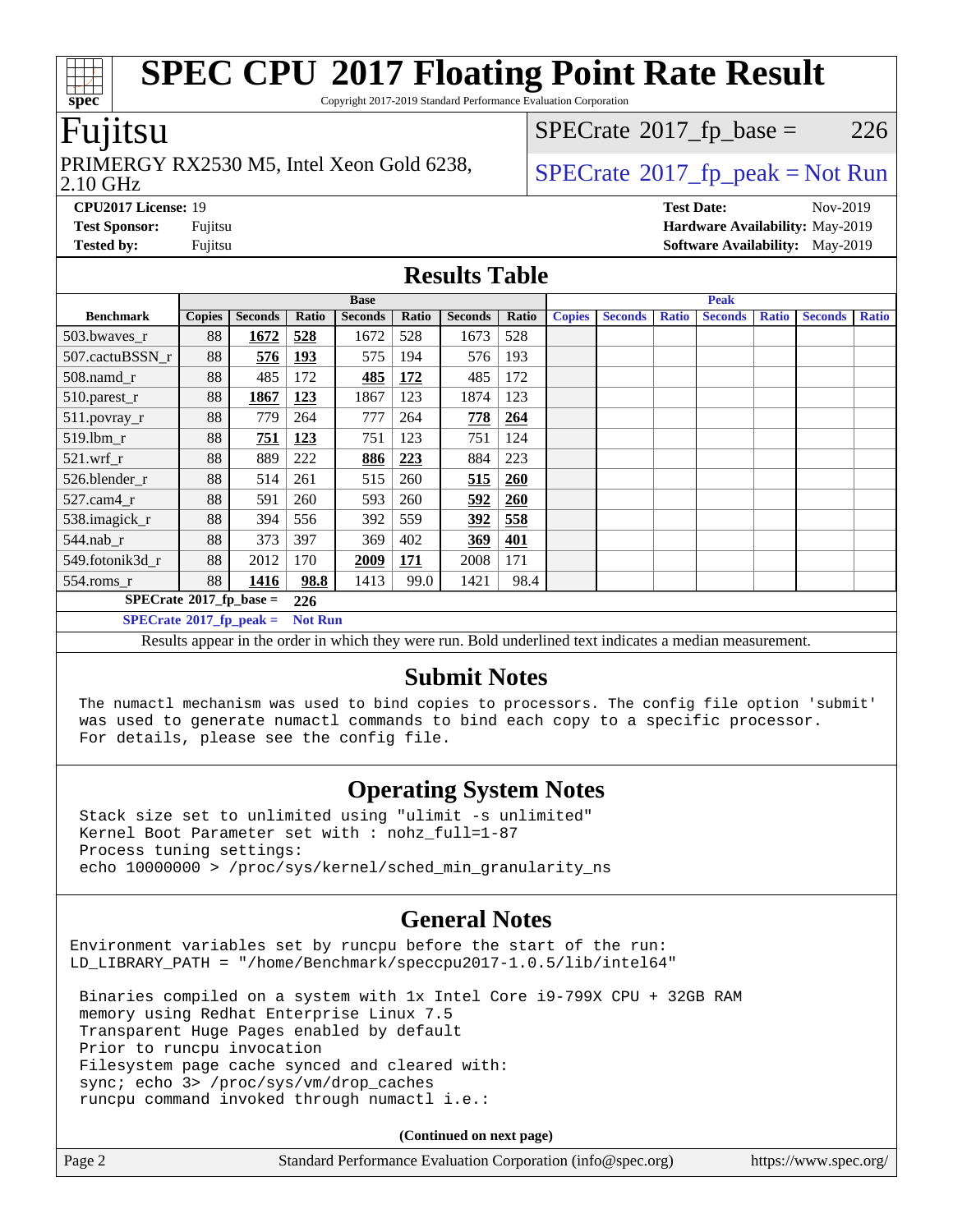Copyright 2017-2019 Standard Performance Evaluation Corporation

### Fujitsu

#### 2.10 GHz PRIMERGY RX2530 M5, Intel Xeon Gold 6238,  $\vert$  [SPECrate](http://www.spec.org/auto/cpu2017/Docs/result-fields.html#SPECrate2017fppeak)®[2017\\_fp\\_peak = N](http://www.spec.org/auto/cpu2017/Docs/result-fields.html#SPECrate2017fppeak)ot Run

 $SPECTate@2017_fp\_base = 226$ 

**[CPU2017 License:](http://www.spec.org/auto/cpu2017/Docs/result-fields.html#CPU2017License)** 19 **[Test Date:](http://www.spec.org/auto/cpu2017/Docs/result-fields.html#TestDate)** Nov-2019 **[Test Sponsor:](http://www.spec.org/auto/cpu2017/Docs/result-fields.html#TestSponsor)** Fujitsu **[Hardware Availability:](http://www.spec.org/auto/cpu2017/Docs/result-fields.html#HardwareAvailability)** May-2019 **[Tested by:](http://www.spec.org/auto/cpu2017/Docs/result-fields.html#Testedby)** Fujitsu **Fujitsu <b>[Software Availability:](http://www.spec.org/auto/cpu2017/Docs/result-fields.html#SoftwareAvailability)** May-2019

### **[Results Table](http://www.spec.org/auto/cpu2017/Docs/result-fields.html#ResultsTable)**

| <b>Base</b>                             |               |                |                | <b>Peak</b>    |       |                |            |               |                |              |                |              |                |              |
|-----------------------------------------|---------------|----------------|----------------|----------------|-------|----------------|------------|---------------|----------------|--------------|----------------|--------------|----------------|--------------|
| <b>Benchmark</b>                        | <b>Copies</b> | <b>Seconds</b> | Ratio          | <b>Seconds</b> | Ratio | <b>Seconds</b> | Ratio      | <b>Copies</b> | <b>Seconds</b> | <b>Ratio</b> | <b>Seconds</b> | <b>Ratio</b> | <b>Seconds</b> | <b>Ratio</b> |
| 503.bwayes r                            | 88            | 1672           | 528            | 1672           | 528   | 1673           | 528        |               |                |              |                |              |                |              |
| 507.cactuBSSN r                         | 88            | 576            | <u>193</u>     | 575            | 194   | 576            | 193        |               |                |              |                |              |                |              |
| $508$ .namd $r$                         | 88            | 485            | 172            | 485            | 172   | 485            | 172        |               |                |              |                |              |                |              |
| 510.parest_r                            | 88            | 1867           | 123            | 1867           | 123   | 1874           | 123        |               |                |              |                |              |                |              |
| 511.povray_r                            | 88            | 779            | 264            | 777            | 264   | 778            | 264        |               |                |              |                |              |                |              |
| 519.lbm r                               | 88            | 751            | 123            | 751            | 123   | 751            | 124        |               |                |              |                |              |                |              |
| $521.wrf_r$                             | 88            | 889            | 222            | 886            | 223   | 884            | 223        |               |                |              |                |              |                |              |
| 526.blender r                           | 88            | 514            | 261            | 515            | 260   | 515            | <b>260</b> |               |                |              |                |              |                |              |
| $527$ .cam $4r$                         | 88            | 591            | 260            | 593            | 260   | 592            | 260        |               |                |              |                |              |                |              |
| 538.imagick_r                           | 88            | 394            | 556            | 392            | 559   | 392            | 558        |               |                |              |                |              |                |              |
| $544$ .nab r                            | 88            | 373            | 397            | 369            | 402   | 369            | 401        |               |                |              |                |              |                |              |
| 549.fotonik3d r                         | 88            | 2012           | 170            | 2009           | 171   | 2008           | 171        |               |                |              |                |              |                |              |
| $554$ .roms_r                           | 88            | 1416           | 98.8           | 1413           | 99.0  | 1421           | 98.4       |               |                |              |                |              |                |              |
| $SPECrate^{\circ}2017$ fp base =<br>226 |               |                |                |                |       |                |            |               |                |              |                |              |                |              |
| $SPECrate^{\circ}2017$ fp peak =        |               |                | <b>Not Run</b> |                |       |                |            |               |                |              |                |              |                |              |

Results appear in the [order in which they were run.](http://www.spec.org/auto/cpu2017/Docs/result-fields.html#RunOrder) Bold underlined text [indicates a median measurement.](http://www.spec.org/auto/cpu2017/Docs/result-fields.html#Median)

### **[Submit Notes](http://www.spec.org/auto/cpu2017/Docs/result-fields.html#SubmitNotes)**

 The numactl mechanism was used to bind copies to processors. The config file option 'submit' was used to generate numactl commands to bind each copy to a specific processor. For details, please see the config file.

# **[Operating System Notes](http://www.spec.org/auto/cpu2017/Docs/result-fields.html#OperatingSystemNotes)**

 Stack size set to unlimited using "ulimit -s unlimited" Kernel Boot Parameter set with : nohz\_full=1-87 Process tuning settings: echo 10000000 > /proc/sys/kernel/sched\_min\_granularity\_ns

### **[General Notes](http://www.spec.org/auto/cpu2017/Docs/result-fields.html#GeneralNotes)**

Environment variables set by runcpu before the start of the run: LD\_LIBRARY\_PATH = "/home/Benchmark/speccpu2017-1.0.5/lib/intel64"

 Binaries compiled on a system with 1x Intel Core i9-799X CPU + 32GB RAM memory using Redhat Enterprise Linux 7.5 Transparent Huge Pages enabled by default Prior to runcpu invocation Filesystem page cache synced and cleared with: sync; echo 3> /proc/sys/vm/drop\_caches runcpu command invoked through numactl i.e.:

**(Continued on next page)**

| Page 2 | Standard Performance Evaluation Corporation (info@spec.org) | https://www.spec.org/ |
|--------|-------------------------------------------------------------|-----------------------|

**[spec](http://www.spec.org/)**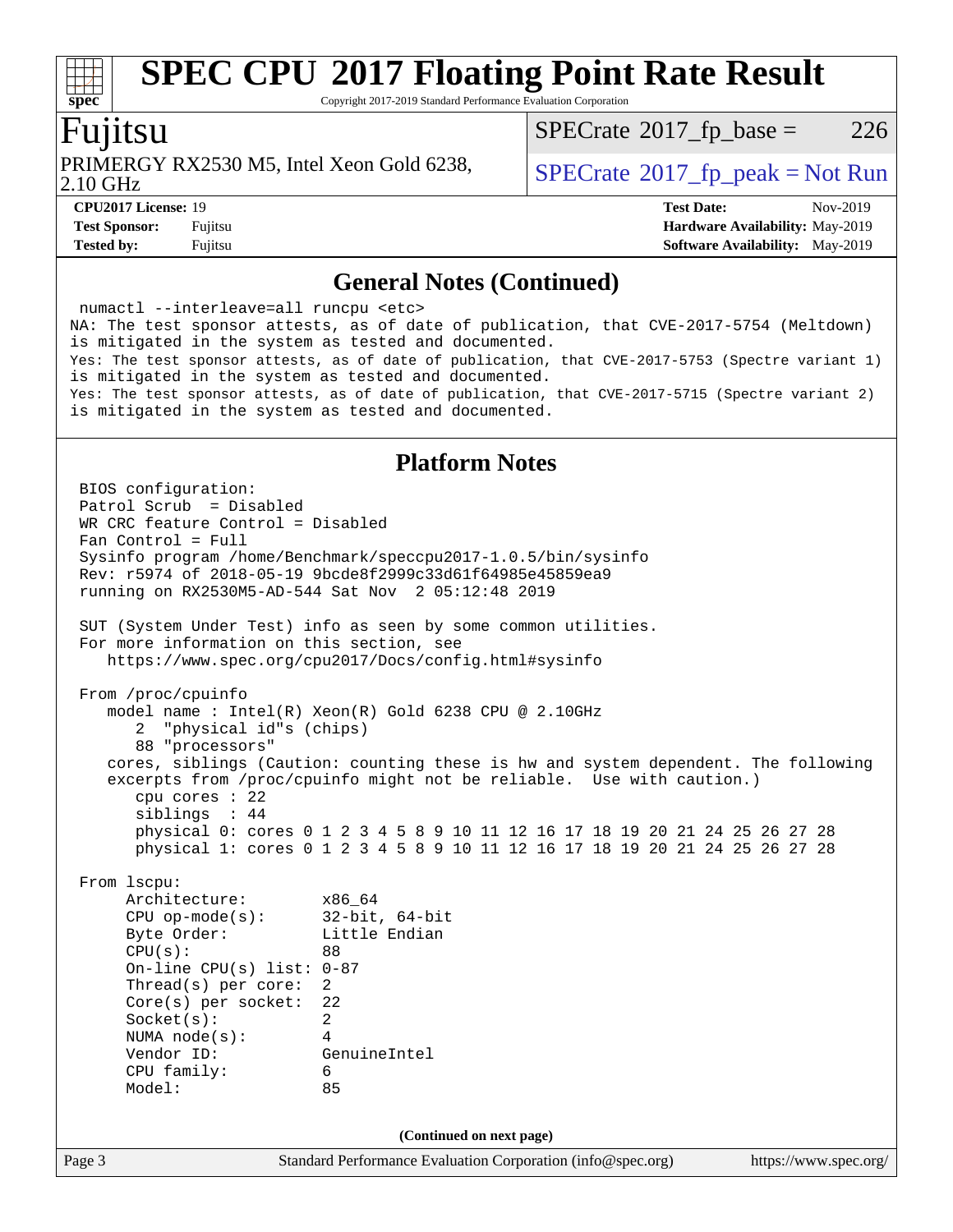Copyright 2017-2019 Standard Performance Evaluation Corporation

### Fujitsu

PRIMERGY RX2530 M5, Intel Xeon Gold 6238,  $\big|$  [SPECrate](http://www.spec.org/auto/cpu2017/Docs/result-fields.html#SPECrate2017fppeak) 2017 fp peak = Not Run

 $SPECTate@2017_fp\_base = 226$ 

2.10 GHz

**[CPU2017 License:](http://www.spec.org/auto/cpu2017/Docs/result-fields.html#CPU2017License)** 19 **[Test Date:](http://www.spec.org/auto/cpu2017/Docs/result-fields.html#TestDate)** Nov-2019 **[Test Sponsor:](http://www.spec.org/auto/cpu2017/Docs/result-fields.html#TestSponsor)** Fujitsu **[Hardware Availability:](http://www.spec.org/auto/cpu2017/Docs/result-fields.html#HardwareAvailability)** May-2019 **[Tested by:](http://www.spec.org/auto/cpu2017/Docs/result-fields.html#Testedby)** Fujitsu **Fugital [Software Availability:](http://www.spec.org/auto/cpu2017/Docs/result-fields.html#SoftwareAvailability)** May-2019

### **[General Notes \(Continued\)](http://www.spec.org/auto/cpu2017/Docs/result-fields.html#GeneralNotes)**

 numactl --interleave=all runcpu <etc> NA: The test sponsor attests, as of date of publication, that CVE-2017-5754 (Meltdown) is mitigated in the system as tested and documented. Yes: The test sponsor attests, as of date of publication, that CVE-2017-5753 (Spectre variant 1) is mitigated in the system as tested and documented. Yes: The test sponsor attests, as of date of publication, that CVE-2017-5715 (Spectre variant 2) is mitigated in the system as tested and documented.

### **[Platform Notes](http://www.spec.org/auto/cpu2017/Docs/result-fields.html#PlatformNotes)**

Page 3 Standard Performance Evaluation Corporation [\(info@spec.org\)](mailto:info@spec.org) <https://www.spec.org/> BIOS configuration: Patrol Scrub = Disabled WR CRC feature Control = Disabled Fan Control = Full Sysinfo program /home/Benchmark/speccpu2017-1.0.5/bin/sysinfo Rev: r5974 of 2018-05-19 9bcde8f2999c33d61f64985e45859ea9 running on RX2530M5-AD-544 Sat Nov 2 05:12:48 2019 SUT (System Under Test) info as seen by some common utilities. For more information on this section, see <https://www.spec.org/cpu2017/Docs/config.html#sysinfo> From /proc/cpuinfo model name : Intel(R) Xeon(R) Gold 6238 CPU @ 2.10GHz 2 "physical id"s (chips) 88 "processors" cores, siblings (Caution: counting these is hw and system dependent. The following excerpts from /proc/cpuinfo might not be reliable. Use with caution.) cpu cores : 22 siblings : 44 physical 0: cores 0 1 2 3 4 5 8 9 10 11 12 16 17 18 19 20 21 24 25 26 27 28 physical 1: cores 0 1 2 3 4 5 8 9 10 11 12 16 17 18 19 20 21 24 25 26 27 28 From lscpu: Architecture: x86\_64 CPU op-mode(s): 32-bit, 64-bit Byte Order: Little Endian CPU(s): 88 On-line CPU(s) list: 0-87 Thread(s) per core: 2 Core(s) per socket: 22 Socket(s): 2 NUMA node(s): 4 Vendor ID: GenuineIntel CPU family: 6 Model: 85 **(Continued on next page)**

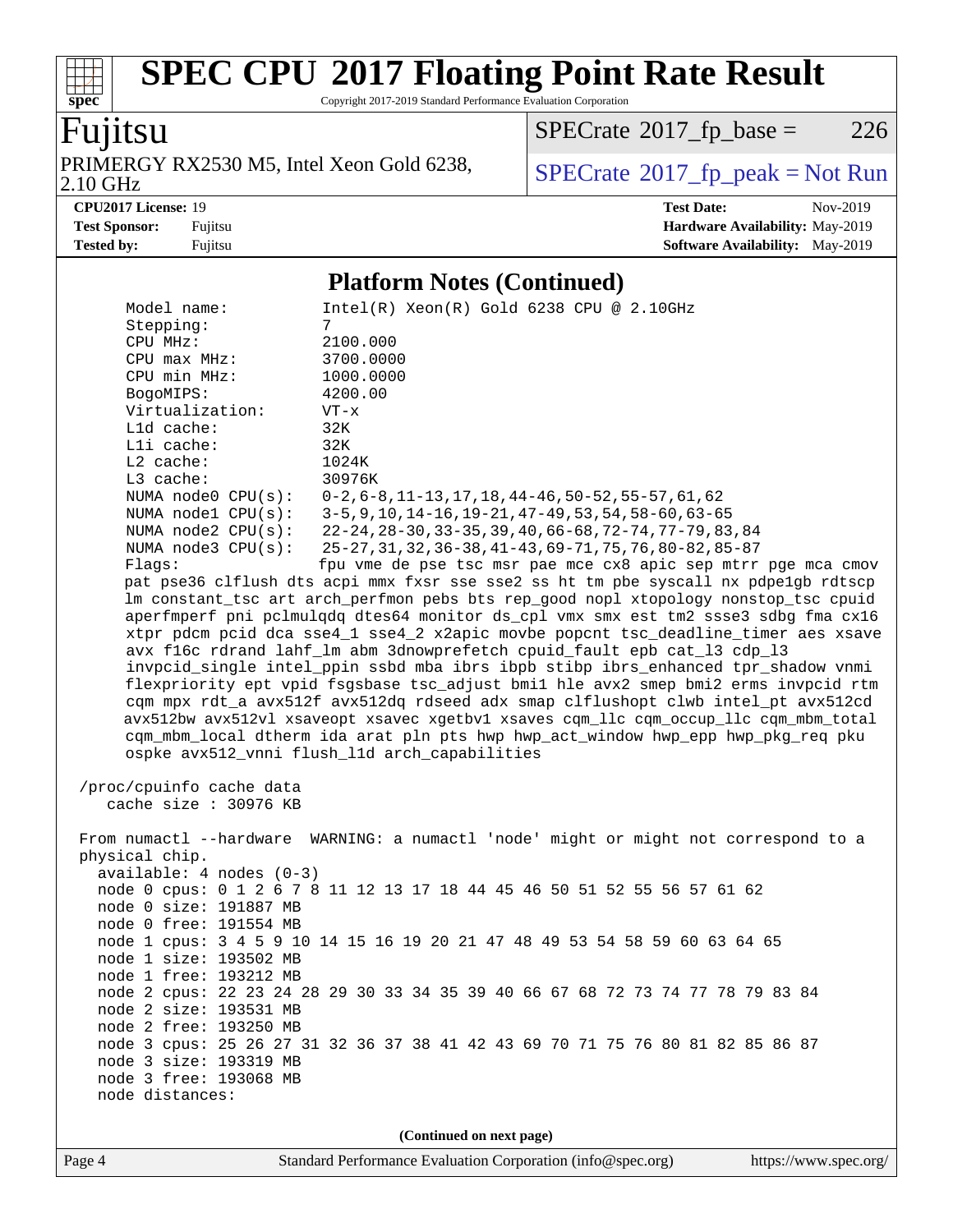Copyright 2017-2019 Standard Performance Evaluation Corporation

# Fujitsu

**[spec](http://www.spec.org/)**

 $+\!\!+\!\!$ 

PRIMERGY RX2530 M5, Intel Xeon Gold 6238,<br>2.10 GHz

 $SPECrate@2017_fp\_base = 226$  $SPECrate@2017_fp\_base = 226$ 

 $SPECTate<sup>®</sup>2017_fp_peak = Not Run$  $SPECTate<sup>®</sup>2017_fp_peak = Not Run$  $SPECTate<sup>®</sup>2017_fp_peak = Not Run$ 

**[CPU2017 License:](http://www.spec.org/auto/cpu2017/Docs/result-fields.html#CPU2017License)** 19 **[Test Date:](http://www.spec.org/auto/cpu2017/Docs/result-fields.html#TestDate)** Nov-2019 **[Test Sponsor:](http://www.spec.org/auto/cpu2017/Docs/result-fields.html#TestSponsor)** Fujitsu **[Hardware Availability:](http://www.spec.org/auto/cpu2017/Docs/result-fields.html#HardwareAvailability)** May-2019 **[Tested by:](http://www.spec.org/auto/cpu2017/Docs/result-fields.html#Testedby)** Fujitsu **Fugital [Software Availability:](http://www.spec.org/auto/cpu2017/Docs/result-fields.html#SoftwareAvailability)** May-2019

### **[Platform Notes \(Continued\)](http://www.spec.org/auto/cpu2017/Docs/result-fields.html#PlatformNotes)**

| Model name:                  | $Intel(R)$ Xeon $(R)$ Gold 6238 CPU @ 2.10GHz                                                                                                                             |
|------------------------------|---------------------------------------------------------------------------------------------------------------------------------------------------------------------------|
| Stepping:                    | 7                                                                                                                                                                         |
| CPU MHz:                     | 2100.000                                                                                                                                                                  |
| CPU max MHz:                 | 3700.0000                                                                                                                                                                 |
| CPU min MHz:                 | 1000.0000<br>4200.00                                                                                                                                                      |
| BogoMIPS:<br>Virtualization: | $VT - x$                                                                                                                                                                  |
| L1d cache:                   | 32K                                                                                                                                                                       |
| Lli cache:                   | 32K                                                                                                                                                                       |
| L2 cache:                    | 1024K                                                                                                                                                                     |
| L3 cache:                    | 30976K                                                                                                                                                                    |
| NUMA $node0$ $CPU(s):$       | $0-2, 6-8, 11-13, 17, 18, 44-46, 50-52, 55-57, 61, 62$                                                                                                                    |
| NUMA nodel CPU(s):           | $3-5, 9, 10, 14-16, 19-21, 47-49, 53, 54, 58-60, 63-65$                                                                                                                   |
| NUMA $node2$ $CPU(s):$       | 22-24, 28-30, 33-35, 39, 40, 66-68, 72-74, 77-79, 83, 84                                                                                                                  |
| NUMA $node3$ $CPU(s)$ :      | 25-27, 31, 32, 36-38, 41-43, 69-71, 75, 76, 80-82, 85-87                                                                                                                  |
| Flags:                       | fpu vme de pse tsc msr pae mce cx8 apic sep mtrr pge mca cmov                                                                                                             |
|                              | pat pse36 clflush dts acpi mmx fxsr sse sse2 ss ht tm pbe syscall nx pdpe1gb rdtscp                                                                                       |
|                              | lm constant_tsc art arch_perfmon pebs bts rep_good nopl xtopology nonstop_tsc cpuid<br>aperfmperf pni pclmulqdq dtes64 monitor ds_cpl vmx smx est tm2 ssse3 sdbg fma cx16 |
|                              | xtpr pdcm pcid dca sse4_1 sse4_2 x2apic movbe popcnt tsc_deadline_timer aes xsave                                                                                         |
|                              | avx f16c rdrand lahf_lm abm 3dnowprefetch cpuid_fault epb cat_13 cdp_13                                                                                                   |
|                              | invpcid_single intel_ppin ssbd mba ibrs ibpb stibp ibrs_enhanced tpr_shadow vnmi                                                                                          |
|                              | flexpriority ept vpid fsgsbase tsc_adjust bmil hle avx2 smep bmi2 erms invpcid rtm                                                                                        |
|                              | cqm mpx rdt a avx512f avx512dq rdseed adx smap clflushopt clwb intel pt avx512cd                                                                                          |
|                              | avx512bw avx512vl xsaveopt xsavec xgetbvl xsaves cqm_llc cqm_occup_llc cqm_mbm_total                                                                                      |
|                              | cqm_mbm_local dtherm ida arat pln pts hwp hwp_act_window hwp_epp hwp_pkg_req pku                                                                                          |
|                              | ospke avx512_vnni flush_l1d arch_capabilities                                                                                                                             |
| /proc/cpuinfo cache data     |                                                                                                                                                                           |
| cache size : 30976 KB        |                                                                                                                                                                           |
|                              |                                                                                                                                                                           |
|                              | From numactl --hardware WARNING: a numactl 'node' might or might not correspond to a                                                                                      |
| physical chip.               |                                                                                                                                                                           |
| $available: 4 nodes (0-3)$   |                                                                                                                                                                           |
|                              | node 0 cpus: 0 1 2 6 7 8 11 12 13 17 18 44 45 46 50 51 52 55 56 57 61 62                                                                                                  |
| node 0 size: 191887 MB       |                                                                                                                                                                           |
| node 0 free: 191554 MB       |                                                                                                                                                                           |
| node 1 size: 193502 MB       | node 1 cpus: 3 4 5 9 10 14 15 16 19 20 21 47 48 49 53 54 58 59 60 63 64 65                                                                                                |
| node 1 free: 193212 MB       |                                                                                                                                                                           |
|                              | node 2 cpus: 22 23 24 28 29 30 33 34 35 39 40 66 67 68 72 73 74 77 78 79 83 84                                                                                            |
| node 2 size: 193531 MB       |                                                                                                                                                                           |
| node 2 free: 193250 MB       |                                                                                                                                                                           |
|                              | node 3 cpus: 25 26 27 31 32 36 37 38 41 42 43 69 70 71 75 76 80 81 82 85 86 87                                                                                            |
| node 3 size: 193319 MB       |                                                                                                                                                                           |
| node 3 free: 193068 MB       |                                                                                                                                                                           |
| node distances:              |                                                                                                                                                                           |
|                              |                                                                                                                                                                           |
|                              | (Continued on next page)                                                                                                                                                  |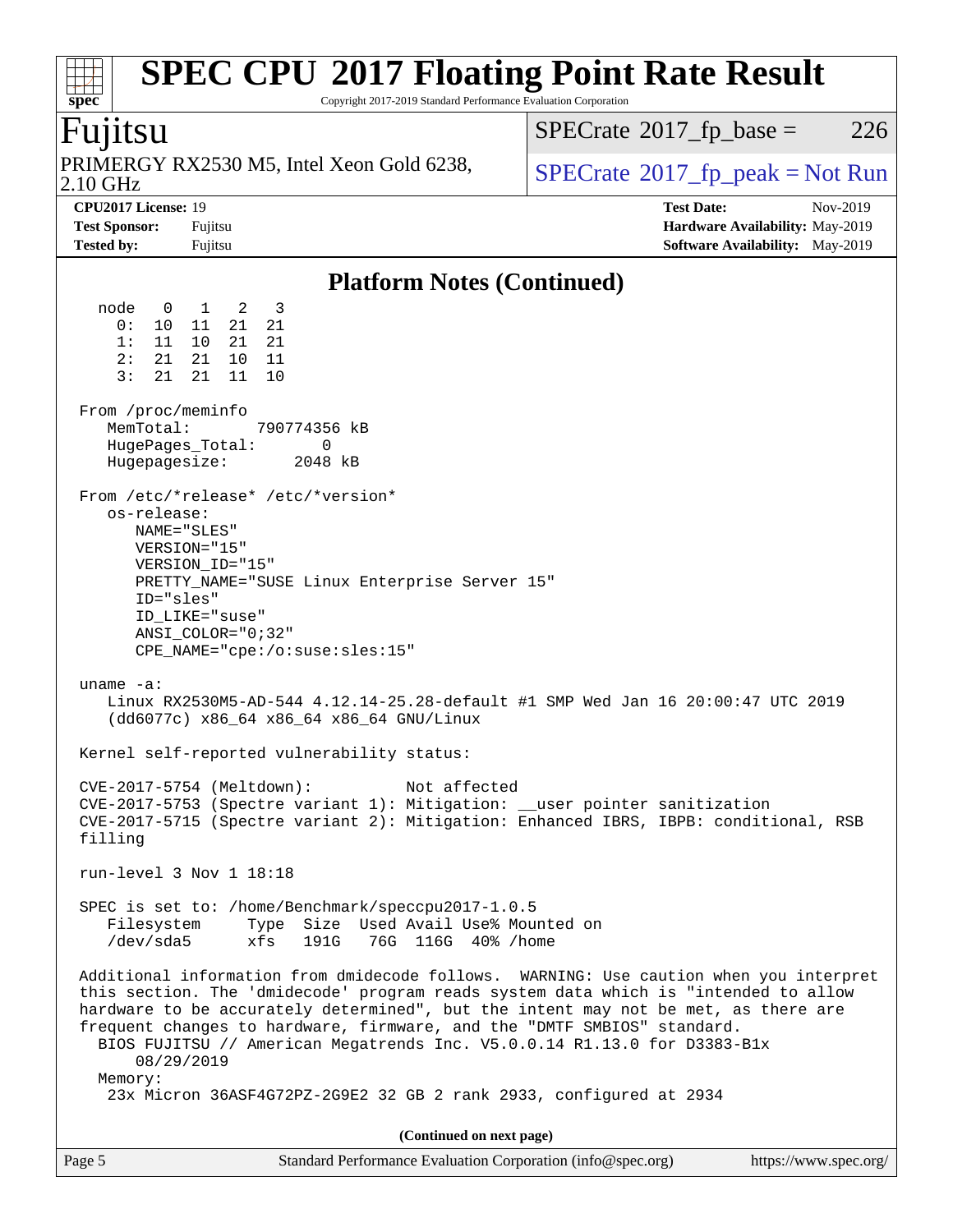### **[spec](http://www.spec.org/) [SPEC CPU](http://www.spec.org/auto/cpu2017/Docs/result-fields.html#SPECCPU2017FloatingPointRateResult)[2017 Floating Point Rate Result](http://www.spec.org/auto/cpu2017/Docs/result-fields.html#SPECCPU2017FloatingPointRateResult)** Copyright 2017-2019 Standard Performance Evaluation Corporation Fujitsu 2.10 GHz PRIMERGY RX2530 M5, Intel Xeon Gold 6238,  $\vert$  [SPECrate](http://www.spec.org/auto/cpu2017/Docs/result-fields.html#SPECrate2017fppeak)®[2017\\_fp\\_peak = N](http://www.spec.org/auto/cpu2017/Docs/result-fields.html#SPECrate2017fppeak)ot Run  $SPECTate@2017_fp\_base = 226$ **[CPU2017 License:](http://www.spec.org/auto/cpu2017/Docs/result-fields.html#CPU2017License)** 19 **[Test Date:](http://www.spec.org/auto/cpu2017/Docs/result-fields.html#TestDate)** Nov-2019 **[Test Sponsor:](http://www.spec.org/auto/cpu2017/Docs/result-fields.html#TestSponsor)** Fujitsu **[Hardware Availability:](http://www.spec.org/auto/cpu2017/Docs/result-fields.html#HardwareAvailability)** May-2019 **[Tested by:](http://www.spec.org/auto/cpu2017/Docs/result-fields.html#Testedby)** Fujitsu **Fujitsu <b>[Software Availability:](http://www.spec.org/auto/cpu2017/Docs/result-fields.html#SoftwareAvailability)** May-2019 **[Platform Notes \(Continued\)](http://www.spec.org/auto/cpu2017/Docs/result-fields.html#PlatformNotes)** node 0 1 2 3 0: 10 11 21 21 1: 11 10 21 21 2: 21 21 10 11 3: 21 21 11 10 From /proc/meminfo<br>MemTotal: 790774356 kB HugePages\_Total: 0 Hugepagesize: 2048 kB From /etc/\*release\* /etc/\*version\* os-release: NAME="SLES" VERSION="15" VERSION\_ID="15" PRETTY\_NAME="SUSE Linux Enterprise Server 15" ID="sles" ID\_LIKE="suse" ANSI\_COLOR="0;32" CPE\_NAME="cpe:/o:suse:sles:15" uname -a: Linux RX2530M5-AD-544 4.12.14-25.28-default #1 SMP Wed Jan 16 20:00:47 UTC 2019 (dd6077c) x86\_64 x86\_64 x86\_64 GNU/Linux Kernel self-reported vulnerability status: CVE-2017-5754 (Meltdown): Not affected CVE-2017-5753 (Spectre variant 1): Mitigation: \_\_user pointer sanitization CVE-2017-5715 (Spectre variant 2): Mitigation: Enhanced IBRS, IBPB: conditional, RSB filling run-level 3 Nov 1 18:18 SPEC is set to: /home/Benchmark/speccpu2017-1.0.5 Filesystem Type Size Used Avail Use% Mounted on /dev/sda5 xfs 191G 76G 116G 40% /home Additional information from dmidecode follows. WARNING: Use caution when you interpret this section. The 'dmidecode' program reads system data which is "intended to allow hardware to be accurately determined", but the intent may not be met, as there are frequent changes to hardware, firmware, and the "DMTF SMBIOS" standard. BIOS FUJITSU // American Megatrends Inc. V5.0.0.14 R1.13.0 for D3383-B1x 08/29/2019 Memory: 23x Micron 36ASF4G72PZ-2G9E2 32 GB 2 rank 2933, configured at 2934 **(Continued on next page)**

| Page 5 | Standard Performance Evaluation Corporation (info@spec.org) | https://www.spec.org/ |
|--------|-------------------------------------------------------------|-----------------------|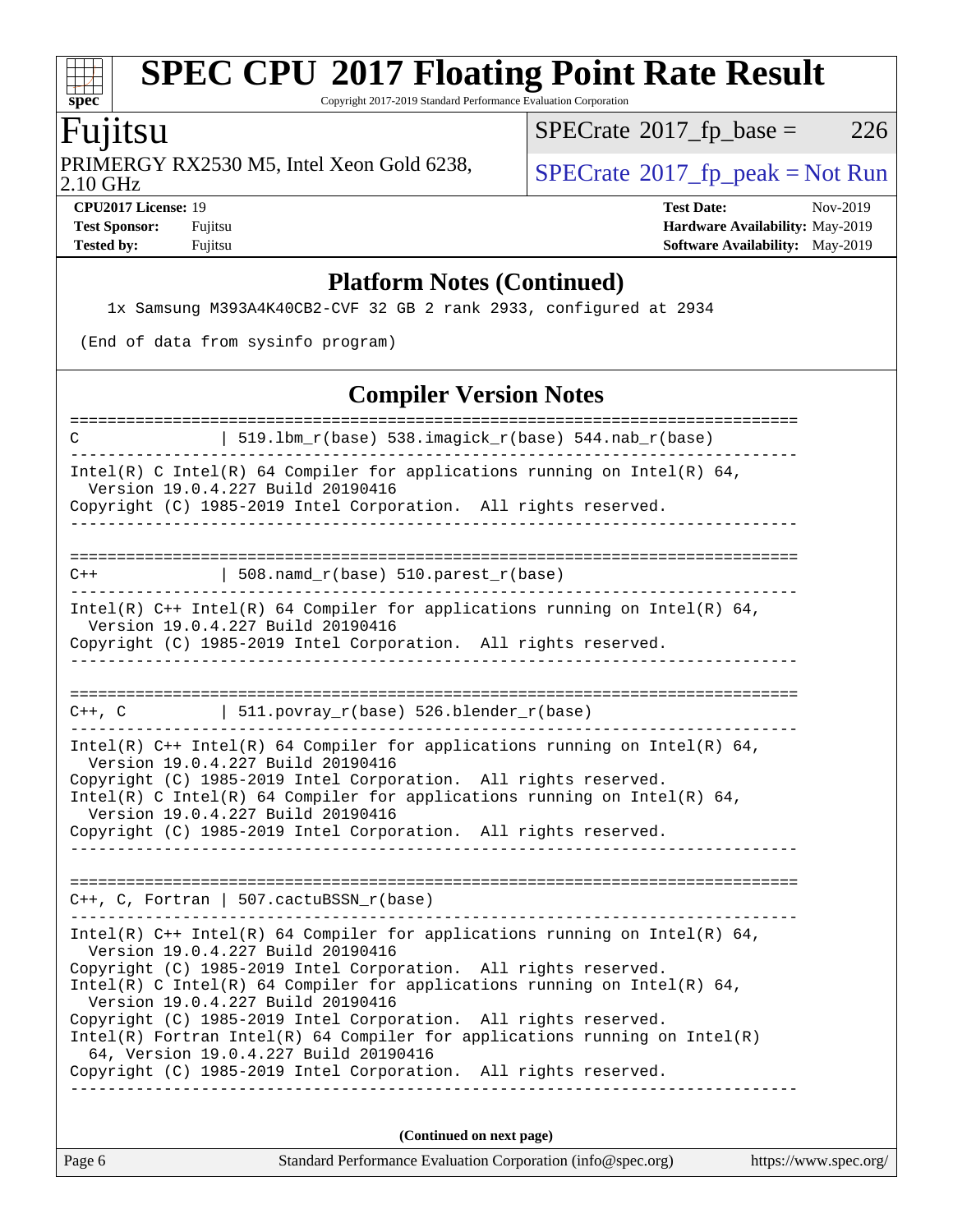Copyright 2017-2019 Standard Performance Evaluation Corporation

# Fujitsu

**[spec](http://www.spec.org/)**

 $+\ +$ 

2.10 GHz PRIMERGY RX2530 M5, Intel Xeon Gold 6238,  $\big|$  [SPECrate](http://www.spec.org/auto/cpu2017/Docs/result-fields.html#SPECrate2017fppeak)®[2017\\_fp\\_peak = N](http://www.spec.org/auto/cpu2017/Docs/result-fields.html#SPECrate2017fppeak)ot Run

 $SPECTate@2017_fp\_base = 226$ 

**[CPU2017 License:](http://www.spec.org/auto/cpu2017/Docs/result-fields.html#CPU2017License)** 19 **[Test Date:](http://www.spec.org/auto/cpu2017/Docs/result-fields.html#TestDate)** Nov-2019 **[Test Sponsor:](http://www.spec.org/auto/cpu2017/Docs/result-fields.html#TestSponsor)** Fujitsu **[Hardware Availability:](http://www.spec.org/auto/cpu2017/Docs/result-fields.html#HardwareAvailability)** May-2019 **[Tested by:](http://www.spec.org/auto/cpu2017/Docs/result-fields.html#Testedby)** Fujitsu **Fugital [Software Availability:](http://www.spec.org/auto/cpu2017/Docs/result-fields.html#SoftwareAvailability)** May-2019

### **[Platform Notes \(Continued\)](http://www.spec.org/auto/cpu2017/Docs/result-fields.html#PlatformNotes)**

1x Samsung M393A4K40CB2-CVF 32 GB 2 rank 2933, configured at 2934

(End of data from sysinfo program)

### **[Compiler Version Notes](http://www.spec.org/auto/cpu2017/Docs/result-fields.html#CompilerVersionNotes)**

| 519.1bm_r(base) 538.imagick_r(base) 544.nab_r(base)                                                                                                                                                                                                                                                                                                                                                                                                                                                                                                                    |                      |
|------------------------------------------------------------------------------------------------------------------------------------------------------------------------------------------------------------------------------------------------------------------------------------------------------------------------------------------------------------------------------------------------------------------------------------------------------------------------------------------------------------------------------------------------------------------------|----------------------|
| Intel(R) C Intel(R) 64 Compiler for applications running on Intel(R) 64,<br>Version 19.0.4.227 Build 20190416<br>Copyright (C) 1985-2019 Intel Corporation. All rights reserved.                                                                                                                                                                                                                                                                                                                                                                                       |                      |
|                                                                                                                                                                                                                                                                                                                                                                                                                                                                                                                                                                        |                      |
| $508.namd_r(base) 510.parest_r(base)$<br>$C++$                                                                                                                                                                                                                                                                                                                                                                                                                                                                                                                         |                      |
| Intel(R) C++ Intel(R) 64 Compiler for applications running on Intel(R) 64,<br>Version 19.0.4.227 Build 20190416<br>Copyright (C) 1985-2019 Intel Corporation. All rights reserved.<br>________________________________                                                                                                                                                                                                                                                                                                                                                 |                      |
|                                                                                                                                                                                                                                                                                                                                                                                                                                                                                                                                                                        |                      |
| $C++$ , $C$<br>$  511.povray_r(base) 526.blender_r(base)$                                                                                                                                                                                                                                                                                                                                                                                                                                                                                                              |                      |
| Intel(R) $C++$ Intel(R) 64 Compiler for applications running on Intel(R) 64,<br>Version 19.0.4.227 Build 20190416<br>Copyright (C) 1985-2019 Intel Corporation. All rights reserved.<br>Intel(R) C Intel(R) 64 Compiler for applications running on Intel(R) 64,<br>Version 19.0.4.227 Build 20190416<br>Copyright (C) 1985-2019 Intel Corporation. All rights reserved.                                                                                                                                                                                               |                      |
| $C++$ , C, Fortran   507.cactuBSSN_r(base)                                                                                                                                                                                                                                                                                                                                                                                                                                                                                                                             |                      |
| Intel(R) $C++$ Intel(R) 64 Compiler for applications running on Intel(R) 64,<br>Version 19.0.4.227 Build 20190416<br>Copyright (C) 1985-2019 Intel Corporation. All rights reserved.<br>$Intel(R)$ C Intel(R) 64 Compiler for applications running on Intel(R) 64,<br>Version 19.0.4.227 Build 20190416<br>Copyright (C) 1985-2019 Intel Corporation. All rights reserved.<br>$Intel(R)$ Fortran Intel(R) 64 Compiler for applications running on Intel(R)<br>64, Version 19.0.4.227 Build 20190416<br>Copyright (C) 1985-2019 Intel Corporation. All rights reserved. |                      |
| (Continued on next page)                                                                                                                                                                                                                                                                                                                                                                                                                                                                                                                                               |                      |
| Standard Performance Evaluation Corporation (info@spec.org)<br>Page 6                                                                                                                                                                                                                                                                                                                                                                                                                                                                                                  | https://www.spec.org |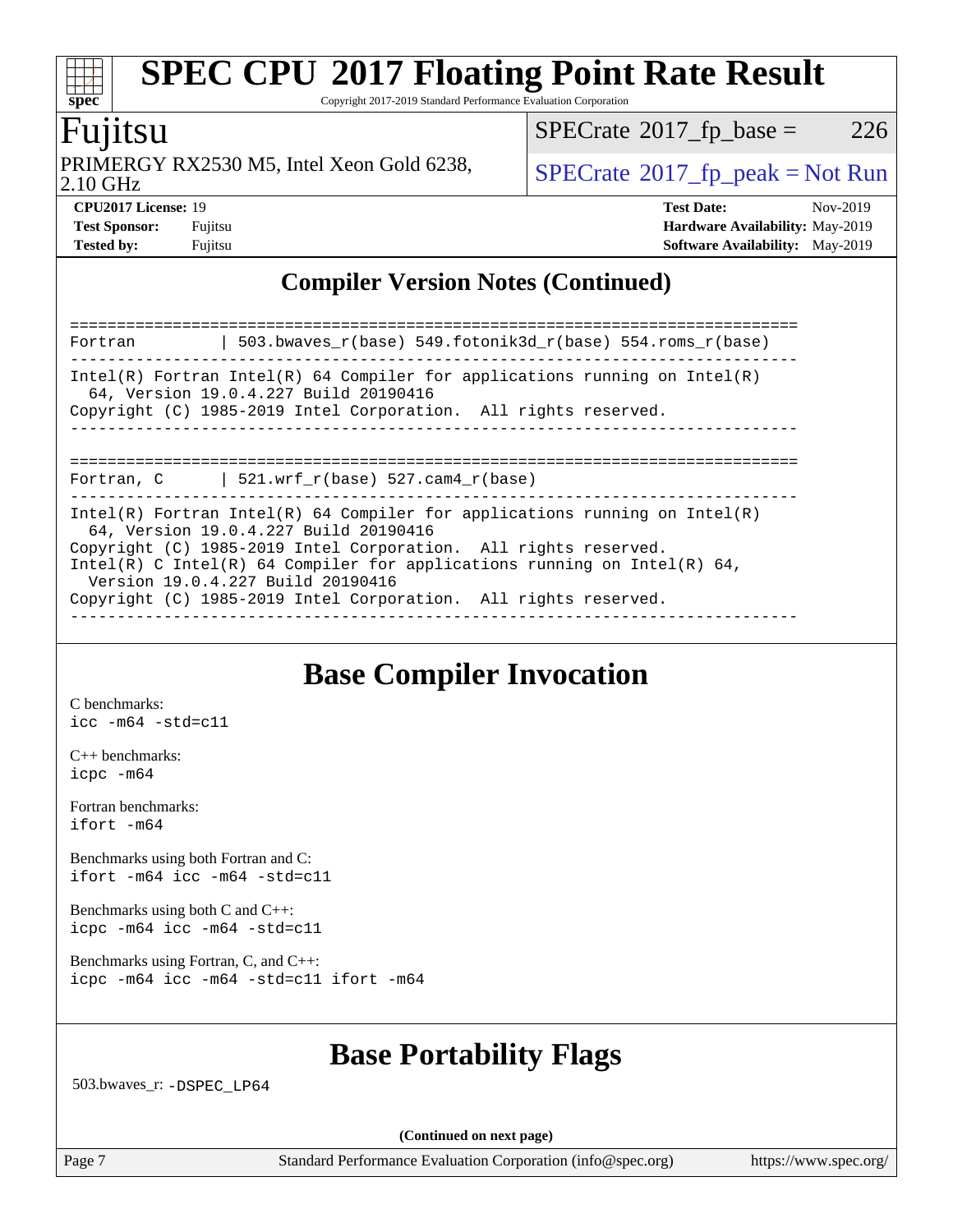Copyright 2017-2019 Standard Performance Evaluation Corporation

# Fujitsu

**[spec](http://www.spec.org/)**

 $+\ +$ 

2.10 GHz PRIMERGY RX2530 M5, Intel Xeon Gold 6238,  $\vert$  [SPECrate](http://www.spec.org/auto/cpu2017/Docs/result-fields.html#SPECrate2017fppeak)®[2017\\_fp\\_peak = N](http://www.spec.org/auto/cpu2017/Docs/result-fields.html#SPECrate2017fppeak)ot Run

 $SPECTate@2017_fp\_base = 226$ 

**[Tested by:](http://www.spec.org/auto/cpu2017/Docs/result-fields.html#Testedby)** Fujitsu **[Software Availability:](http://www.spec.org/auto/cpu2017/Docs/result-fields.html#SoftwareAvailability)** May-2019

**[CPU2017 License:](http://www.spec.org/auto/cpu2017/Docs/result-fields.html#CPU2017License)** 19 **[Test Date:](http://www.spec.org/auto/cpu2017/Docs/result-fields.html#TestDate)** Nov-2019 **[Test Sponsor:](http://www.spec.org/auto/cpu2017/Docs/result-fields.html#TestSponsor)** Fujitsu **[Hardware Availability:](http://www.spec.org/auto/cpu2017/Docs/result-fields.html#HardwareAvailability)** May-2019

## **[Compiler Version Notes \(Continued\)](http://www.spec.org/auto/cpu2017/Docs/result-fields.html#CompilerVersionNotes)**

| Fortran | 503.bwaves $r(base)$ 549.fotonik3d $r(base)$ 554.roms $r(base)$                                                                                                                                                                                                                                                                                                            |
|---------|----------------------------------------------------------------------------------------------------------------------------------------------------------------------------------------------------------------------------------------------------------------------------------------------------------------------------------------------------------------------------|
|         | Intel(R) Fortran Intel(R) 64 Compiler for applications running on Intel(R)<br>64, Version 19.0.4.227 Build 20190416<br>Copyright (C) 1985-2019 Intel Corporation. All rights reserved.                                                                                                                                                                                     |
|         | Fortran, C $\vert$ 521.wrf_r(base) 527.cam4_r(base)                                                                                                                                                                                                                                                                                                                        |
|         | Intel(R) Fortran Intel(R) 64 Compiler for applications running on Intel(R)<br>64, Version 19.0.4.227 Build 20190416<br>Copyright (C) 1985-2019 Intel Corporation. All rights reserved.<br>Intel(R) C Intel(R) 64 Compiler for applications running on Intel(R) 64,<br>Version 19.0.4.227 Build 20190416<br>Copyright (C) 1985-2019 Intel Corporation. All rights reserved. |

# **[Base Compiler Invocation](http://www.spec.org/auto/cpu2017/Docs/result-fields.html#BaseCompilerInvocation)**

[C benchmarks](http://www.spec.org/auto/cpu2017/Docs/result-fields.html#Cbenchmarks): [icc -m64 -std=c11](http://www.spec.org/cpu2017/results/res2019q4/cpu2017-20191111-19666.flags.html#user_CCbase_intel_icc_64bit_c11_33ee0cdaae7deeeab2a9725423ba97205ce30f63b9926c2519791662299b76a0318f32ddfffdc46587804de3178b4f9328c46fa7c2b0cd779d7a61945c91cd35)

[C++ benchmarks:](http://www.spec.org/auto/cpu2017/Docs/result-fields.html#CXXbenchmarks) [icpc -m64](http://www.spec.org/cpu2017/results/res2019q4/cpu2017-20191111-19666.flags.html#user_CXXbase_intel_icpc_64bit_4ecb2543ae3f1412ef961e0650ca070fec7b7afdcd6ed48761b84423119d1bf6bdf5cad15b44d48e7256388bc77273b966e5eb805aefd121eb22e9299b2ec9d9)

[Fortran benchmarks](http://www.spec.org/auto/cpu2017/Docs/result-fields.html#Fortranbenchmarks): [ifort -m64](http://www.spec.org/cpu2017/results/res2019q4/cpu2017-20191111-19666.flags.html#user_FCbase_intel_ifort_64bit_24f2bb282fbaeffd6157abe4f878425411749daecae9a33200eee2bee2fe76f3b89351d69a8130dd5949958ce389cf37ff59a95e7a40d588e8d3a57e0c3fd751)

[Benchmarks using both Fortran and C](http://www.spec.org/auto/cpu2017/Docs/result-fields.html#BenchmarksusingbothFortranandC): [ifort -m64](http://www.spec.org/cpu2017/results/res2019q4/cpu2017-20191111-19666.flags.html#user_CC_FCbase_intel_ifort_64bit_24f2bb282fbaeffd6157abe4f878425411749daecae9a33200eee2bee2fe76f3b89351d69a8130dd5949958ce389cf37ff59a95e7a40d588e8d3a57e0c3fd751) [icc -m64 -std=c11](http://www.spec.org/cpu2017/results/res2019q4/cpu2017-20191111-19666.flags.html#user_CC_FCbase_intel_icc_64bit_c11_33ee0cdaae7deeeab2a9725423ba97205ce30f63b9926c2519791662299b76a0318f32ddfffdc46587804de3178b4f9328c46fa7c2b0cd779d7a61945c91cd35)

[Benchmarks using both C and C++](http://www.spec.org/auto/cpu2017/Docs/result-fields.html#BenchmarksusingbothCandCXX): [icpc -m64](http://www.spec.org/cpu2017/results/res2019q4/cpu2017-20191111-19666.flags.html#user_CC_CXXbase_intel_icpc_64bit_4ecb2543ae3f1412ef961e0650ca070fec7b7afdcd6ed48761b84423119d1bf6bdf5cad15b44d48e7256388bc77273b966e5eb805aefd121eb22e9299b2ec9d9) [icc -m64 -std=c11](http://www.spec.org/cpu2017/results/res2019q4/cpu2017-20191111-19666.flags.html#user_CC_CXXbase_intel_icc_64bit_c11_33ee0cdaae7deeeab2a9725423ba97205ce30f63b9926c2519791662299b76a0318f32ddfffdc46587804de3178b4f9328c46fa7c2b0cd779d7a61945c91cd35)

[Benchmarks using Fortran, C, and C++:](http://www.spec.org/auto/cpu2017/Docs/result-fields.html#BenchmarksusingFortranCandCXX) [icpc -m64](http://www.spec.org/cpu2017/results/res2019q4/cpu2017-20191111-19666.flags.html#user_CC_CXX_FCbase_intel_icpc_64bit_4ecb2543ae3f1412ef961e0650ca070fec7b7afdcd6ed48761b84423119d1bf6bdf5cad15b44d48e7256388bc77273b966e5eb805aefd121eb22e9299b2ec9d9) [icc -m64 -std=c11](http://www.spec.org/cpu2017/results/res2019q4/cpu2017-20191111-19666.flags.html#user_CC_CXX_FCbase_intel_icc_64bit_c11_33ee0cdaae7deeeab2a9725423ba97205ce30f63b9926c2519791662299b76a0318f32ddfffdc46587804de3178b4f9328c46fa7c2b0cd779d7a61945c91cd35) [ifort -m64](http://www.spec.org/cpu2017/results/res2019q4/cpu2017-20191111-19666.flags.html#user_CC_CXX_FCbase_intel_ifort_64bit_24f2bb282fbaeffd6157abe4f878425411749daecae9a33200eee2bee2fe76f3b89351d69a8130dd5949958ce389cf37ff59a95e7a40d588e8d3a57e0c3fd751)

# **[Base Portability Flags](http://www.spec.org/auto/cpu2017/Docs/result-fields.html#BasePortabilityFlags)**

503.bwaves\_r: [-DSPEC\\_LP64](http://www.spec.org/cpu2017/results/res2019q4/cpu2017-20191111-19666.flags.html#suite_basePORTABILITY503_bwaves_r_DSPEC_LP64)

**(Continued on next page)**

Page 7 Standard Performance Evaluation Corporation [\(info@spec.org\)](mailto:info@spec.org) <https://www.spec.org/>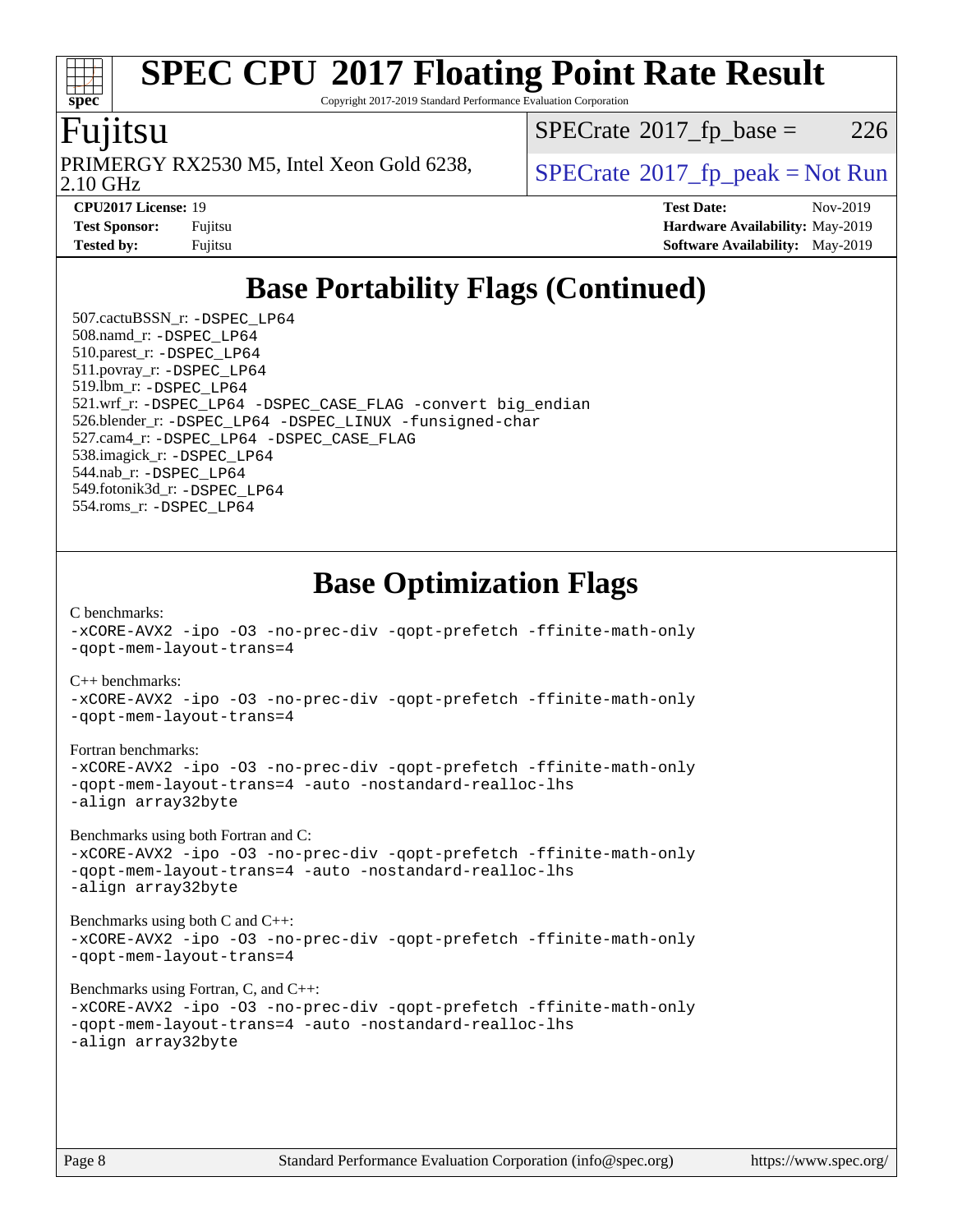Copyright 2017-2019 Standard Performance Evaluation Corporation

# Fujitsu

**[spec](http://www.spec.org/)**

2.10 GHz PRIMERGY RX2530 M5, Intel Xeon Gold 6238,  $\vert$  [SPECrate](http://www.spec.org/auto/cpu2017/Docs/result-fields.html#SPECrate2017fppeak) 2017 fp\_peak = Not Run

 $SPECTate@2017_fp\_base = 226$ 

**[CPU2017 License:](http://www.spec.org/auto/cpu2017/Docs/result-fields.html#CPU2017License)** 19 **[Test Date:](http://www.spec.org/auto/cpu2017/Docs/result-fields.html#TestDate)** Nov-2019 **[Test Sponsor:](http://www.spec.org/auto/cpu2017/Docs/result-fields.html#TestSponsor)** Fujitsu **[Hardware Availability:](http://www.spec.org/auto/cpu2017/Docs/result-fields.html#HardwareAvailability)** May-2019 **[Tested by:](http://www.spec.org/auto/cpu2017/Docs/result-fields.html#Testedby)** Fujitsu **Fugital [Software Availability:](http://www.spec.org/auto/cpu2017/Docs/result-fields.html#SoftwareAvailability)** May-2019

# **[Base Portability Flags \(Continued\)](http://www.spec.org/auto/cpu2017/Docs/result-fields.html#BasePortabilityFlags)**

 507.cactuBSSN\_r: [-DSPEC\\_LP64](http://www.spec.org/cpu2017/results/res2019q4/cpu2017-20191111-19666.flags.html#suite_basePORTABILITY507_cactuBSSN_r_DSPEC_LP64) 508.namd\_r: [-DSPEC\\_LP64](http://www.spec.org/cpu2017/results/res2019q4/cpu2017-20191111-19666.flags.html#suite_basePORTABILITY508_namd_r_DSPEC_LP64) 510.parest\_r: [-DSPEC\\_LP64](http://www.spec.org/cpu2017/results/res2019q4/cpu2017-20191111-19666.flags.html#suite_basePORTABILITY510_parest_r_DSPEC_LP64) 511.povray\_r: [-DSPEC\\_LP64](http://www.spec.org/cpu2017/results/res2019q4/cpu2017-20191111-19666.flags.html#suite_basePORTABILITY511_povray_r_DSPEC_LP64) 519.lbm\_r: [-DSPEC\\_LP64](http://www.spec.org/cpu2017/results/res2019q4/cpu2017-20191111-19666.flags.html#suite_basePORTABILITY519_lbm_r_DSPEC_LP64) 521.wrf\_r: [-DSPEC\\_LP64](http://www.spec.org/cpu2017/results/res2019q4/cpu2017-20191111-19666.flags.html#suite_basePORTABILITY521_wrf_r_DSPEC_LP64) [-DSPEC\\_CASE\\_FLAG](http://www.spec.org/cpu2017/results/res2019q4/cpu2017-20191111-19666.flags.html#b521.wrf_r_baseCPORTABILITY_DSPEC_CASE_FLAG) [-convert big\\_endian](http://www.spec.org/cpu2017/results/res2019q4/cpu2017-20191111-19666.flags.html#user_baseFPORTABILITY521_wrf_r_convert_big_endian_c3194028bc08c63ac5d04de18c48ce6d347e4e562e8892b8bdbdc0214820426deb8554edfa529a3fb25a586e65a3d812c835984020483e7e73212c4d31a38223) 526.blender\_r: [-DSPEC\\_LP64](http://www.spec.org/cpu2017/results/res2019q4/cpu2017-20191111-19666.flags.html#suite_basePORTABILITY526_blender_r_DSPEC_LP64) [-DSPEC\\_LINUX](http://www.spec.org/cpu2017/results/res2019q4/cpu2017-20191111-19666.flags.html#b526.blender_r_baseCPORTABILITY_DSPEC_LINUX) [-funsigned-char](http://www.spec.org/cpu2017/results/res2019q4/cpu2017-20191111-19666.flags.html#user_baseCPORTABILITY526_blender_r_force_uchar_40c60f00ab013830e2dd6774aeded3ff59883ba5a1fc5fc14077f794d777847726e2a5858cbc7672e36e1b067e7e5c1d9a74f7176df07886a243d7cc18edfe67) 527.cam4\_r: [-DSPEC\\_LP64](http://www.spec.org/cpu2017/results/res2019q4/cpu2017-20191111-19666.flags.html#suite_basePORTABILITY527_cam4_r_DSPEC_LP64) [-DSPEC\\_CASE\\_FLAG](http://www.spec.org/cpu2017/results/res2019q4/cpu2017-20191111-19666.flags.html#b527.cam4_r_baseCPORTABILITY_DSPEC_CASE_FLAG) 538.imagick\_r: [-DSPEC\\_LP64](http://www.spec.org/cpu2017/results/res2019q4/cpu2017-20191111-19666.flags.html#suite_basePORTABILITY538_imagick_r_DSPEC_LP64) 544.nab\_r: [-DSPEC\\_LP64](http://www.spec.org/cpu2017/results/res2019q4/cpu2017-20191111-19666.flags.html#suite_basePORTABILITY544_nab_r_DSPEC_LP64) 549.fotonik3d\_r: [-DSPEC\\_LP64](http://www.spec.org/cpu2017/results/res2019q4/cpu2017-20191111-19666.flags.html#suite_basePORTABILITY549_fotonik3d_r_DSPEC_LP64) 554.roms\_r: [-DSPEC\\_LP64](http://www.spec.org/cpu2017/results/res2019q4/cpu2017-20191111-19666.flags.html#suite_basePORTABILITY554_roms_r_DSPEC_LP64)

# **[Base Optimization Flags](http://www.spec.org/auto/cpu2017/Docs/result-fields.html#BaseOptimizationFlags)**

[C benchmarks](http://www.spec.org/auto/cpu2017/Docs/result-fields.html#Cbenchmarks): [-xCORE-AVX2](http://www.spec.org/cpu2017/results/res2019q4/cpu2017-20191111-19666.flags.html#user_CCbase_f-xCORE-AVX2) [-ipo](http://www.spec.org/cpu2017/results/res2019q4/cpu2017-20191111-19666.flags.html#user_CCbase_f-ipo) [-O3](http://www.spec.org/cpu2017/results/res2019q4/cpu2017-20191111-19666.flags.html#user_CCbase_f-O3) [-no-prec-div](http://www.spec.org/cpu2017/results/res2019q4/cpu2017-20191111-19666.flags.html#user_CCbase_f-no-prec-div) [-qopt-prefetch](http://www.spec.org/cpu2017/results/res2019q4/cpu2017-20191111-19666.flags.html#user_CCbase_f-qopt-prefetch) [-ffinite-math-only](http://www.spec.org/cpu2017/results/res2019q4/cpu2017-20191111-19666.flags.html#user_CCbase_f_finite_math_only_cb91587bd2077682c4b38af759c288ed7c732db004271a9512da14a4f8007909a5f1427ecbf1a0fb78ff2a814402c6114ac565ca162485bbcae155b5e4258871) [-qopt-mem-layout-trans=4](http://www.spec.org/cpu2017/results/res2019q4/cpu2017-20191111-19666.flags.html#user_CCbase_f-qopt-mem-layout-trans_fa39e755916c150a61361b7846f310bcdf6f04e385ef281cadf3647acec3f0ae266d1a1d22d972a7087a248fd4e6ca390a3634700869573d231a252c784941a8) [C++ benchmarks:](http://www.spec.org/auto/cpu2017/Docs/result-fields.html#CXXbenchmarks) [-xCORE-AVX2](http://www.spec.org/cpu2017/results/res2019q4/cpu2017-20191111-19666.flags.html#user_CXXbase_f-xCORE-AVX2) [-ipo](http://www.spec.org/cpu2017/results/res2019q4/cpu2017-20191111-19666.flags.html#user_CXXbase_f-ipo) [-O3](http://www.spec.org/cpu2017/results/res2019q4/cpu2017-20191111-19666.flags.html#user_CXXbase_f-O3) [-no-prec-div](http://www.spec.org/cpu2017/results/res2019q4/cpu2017-20191111-19666.flags.html#user_CXXbase_f-no-prec-div) [-qopt-prefetch](http://www.spec.org/cpu2017/results/res2019q4/cpu2017-20191111-19666.flags.html#user_CXXbase_f-qopt-prefetch) [-ffinite-math-only](http://www.spec.org/cpu2017/results/res2019q4/cpu2017-20191111-19666.flags.html#user_CXXbase_f_finite_math_only_cb91587bd2077682c4b38af759c288ed7c732db004271a9512da14a4f8007909a5f1427ecbf1a0fb78ff2a814402c6114ac565ca162485bbcae155b5e4258871) [-qopt-mem-layout-trans=4](http://www.spec.org/cpu2017/results/res2019q4/cpu2017-20191111-19666.flags.html#user_CXXbase_f-qopt-mem-layout-trans_fa39e755916c150a61361b7846f310bcdf6f04e385ef281cadf3647acec3f0ae266d1a1d22d972a7087a248fd4e6ca390a3634700869573d231a252c784941a8) [Fortran benchmarks](http://www.spec.org/auto/cpu2017/Docs/result-fields.html#Fortranbenchmarks): [-xCORE-AVX2](http://www.spec.org/cpu2017/results/res2019q4/cpu2017-20191111-19666.flags.html#user_FCbase_f-xCORE-AVX2) [-ipo](http://www.spec.org/cpu2017/results/res2019q4/cpu2017-20191111-19666.flags.html#user_FCbase_f-ipo) [-O3](http://www.spec.org/cpu2017/results/res2019q4/cpu2017-20191111-19666.flags.html#user_FCbase_f-O3) [-no-prec-div](http://www.spec.org/cpu2017/results/res2019q4/cpu2017-20191111-19666.flags.html#user_FCbase_f-no-prec-div) [-qopt-prefetch](http://www.spec.org/cpu2017/results/res2019q4/cpu2017-20191111-19666.flags.html#user_FCbase_f-qopt-prefetch) [-ffinite-math-only](http://www.spec.org/cpu2017/results/res2019q4/cpu2017-20191111-19666.flags.html#user_FCbase_f_finite_math_only_cb91587bd2077682c4b38af759c288ed7c732db004271a9512da14a4f8007909a5f1427ecbf1a0fb78ff2a814402c6114ac565ca162485bbcae155b5e4258871) [-qopt-mem-layout-trans=4](http://www.spec.org/cpu2017/results/res2019q4/cpu2017-20191111-19666.flags.html#user_FCbase_f-qopt-mem-layout-trans_fa39e755916c150a61361b7846f310bcdf6f04e385ef281cadf3647acec3f0ae266d1a1d22d972a7087a248fd4e6ca390a3634700869573d231a252c784941a8) [-auto](http://www.spec.org/cpu2017/results/res2019q4/cpu2017-20191111-19666.flags.html#user_FCbase_f-auto) [-nostandard-realloc-lhs](http://www.spec.org/cpu2017/results/res2019q4/cpu2017-20191111-19666.flags.html#user_FCbase_f_2003_std_realloc_82b4557e90729c0f113870c07e44d33d6f5a304b4f63d4c15d2d0f1fab99f5daaed73bdb9275d9ae411527f28b936061aa8b9c8f2d63842963b95c9dd6426b8a) [-align array32byte](http://www.spec.org/cpu2017/results/res2019q4/cpu2017-20191111-19666.flags.html#user_FCbase_align_array32byte_b982fe038af199962ba9a80c053b8342c548c85b40b8e86eb3cc33dee0d7986a4af373ac2d51c3f7cf710a18d62fdce2948f201cd044323541f22fc0fffc51b6) [Benchmarks using both Fortran and C](http://www.spec.org/auto/cpu2017/Docs/result-fields.html#BenchmarksusingbothFortranandC): [-xCORE-AVX2](http://www.spec.org/cpu2017/results/res2019q4/cpu2017-20191111-19666.flags.html#user_CC_FCbase_f-xCORE-AVX2) [-ipo](http://www.spec.org/cpu2017/results/res2019q4/cpu2017-20191111-19666.flags.html#user_CC_FCbase_f-ipo) [-O3](http://www.spec.org/cpu2017/results/res2019q4/cpu2017-20191111-19666.flags.html#user_CC_FCbase_f-O3) [-no-prec-div](http://www.spec.org/cpu2017/results/res2019q4/cpu2017-20191111-19666.flags.html#user_CC_FCbase_f-no-prec-div) [-qopt-prefetch](http://www.spec.org/cpu2017/results/res2019q4/cpu2017-20191111-19666.flags.html#user_CC_FCbase_f-qopt-prefetch) [-ffinite-math-only](http://www.spec.org/cpu2017/results/res2019q4/cpu2017-20191111-19666.flags.html#user_CC_FCbase_f_finite_math_only_cb91587bd2077682c4b38af759c288ed7c732db004271a9512da14a4f8007909a5f1427ecbf1a0fb78ff2a814402c6114ac565ca162485bbcae155b5e4258871) [-qopt-mem-layout-trans=4](http://www.spec.org/cpu2017/results/res2019q4/cpu2017-20191111-19666.flags.html#user_CC_FCbase_f-qopt-mem-layout-trans_fa39e755916c150a61361b7846f310bcdf6f04e385ef281cadf3647acec3f0ae266d1a1d22d972a7087a248fd4e6ca390a3634700869573d231a252c784941a8) [-auto](http://www.spec.org/cpu2017/results/res2019q4/cpu2017-20191111-19666.flags.html#user_CC_FCbase_f-auto) [-nostandard-realloc-lhs](http://www.spec.org/cpu2017/results/res2019q4/cpu2017-20191111-19666.flags.html#user_CC_FCbase_f_2003_std_realloc_82b4557e90729c0f113870c07e44d33d6f5a304b4f63d4c15d2d0f1fab99f5daaed73bdb9275d9ae411527f28b936061aa8b9c8f2d63842963b95c9dd6426b8a) [-align array32byte](http://www.spec.org/cpu2017/results/res2019q4/cpu2017-20191111-19666.flags.html#user_CC_FCbase_align_array32byte_b982fe038af199962ba9a80c053b8342c548c85b40b8e86eb3cc33dee0d7986a4af373ac2d51c3f7cf710a18d62fdce2948f201cd044323541f22fc0fffc51b6) [Benchmarks using both C and C++](http://www.spec.org/auto/cpu2017/Docs/result-fields.html#BenchmarksusingbothCandCXX): [-xCORE-AVX2](http://www.spec.org/cpu2017/results/res2019q4/cpu2017-20191111-19666.flags.html#user_CC_CXXbase_f-xCORE-AVX2) [-ipo](http://www.spec.org/cpu2017/results/res2019q4/cpu2017-20191111-19666.flags.html#user_CC_CXXbase_f-ipo) [-O3](http://www.spec.org/cpu2017/results/res2019q4/cpu2017-20191111-19666.flags.html#user_CC_CXXbase_f-O3) [-no-prec-div](http://www.spec.org/cpu2017/results/res2019q4/cpu2017-20191111-19666.flags.html#user_CC_CXXbase_f-no-prec-div) [-qopt-prefetch](http://www.spec.org/cpu2017/results/res2019q4/cpu2017-20191111-19666.flags.html#user_CC_CXXbase_f-qopt-prefetch) [-ffinite-math-only](http://www.spec.org/cpu2017/results/res2019q4/cpu2017-20191111-19666.flags.html#user_CC_CXXbase_f_finite_math_only_cb91587bd2077682c4b38af759c288ed7c732db004271a9512da14a4f8007909a5f1427ecbf1a0fb78ff2a814402c6114ac565ca162485bbcae155b5e4258871)

[-qopt-mem-layout-trans=4](http://www.spec.org/cpu2017/results/res2019q4/cpu2017-20191111-19666.flags.html#user_CC_CXXbase_f-qopt-mem-layout-trans_fa39e755916c150a61361b7846f310bcdf6f04e385ef281cadf3647acec3f0ae266d1a1d22d972a7087a248fd4e6ca390a3634700869573d231a252c784941a8)

[Benchmarks using Fortran, C, and C++:](http://www.spec.org/auto/cpu2017/Docs/result-fields.html#BenchmarksusingFortranCandCXX)

```
-xCORE-AVX2 -ipo -O3 -no-prec-div -qopt-prefetch -ffinite-math-only
-qopt-mem-layout-trans=4 -auto -nostandard-realloc-lhs
-align array32byte
```